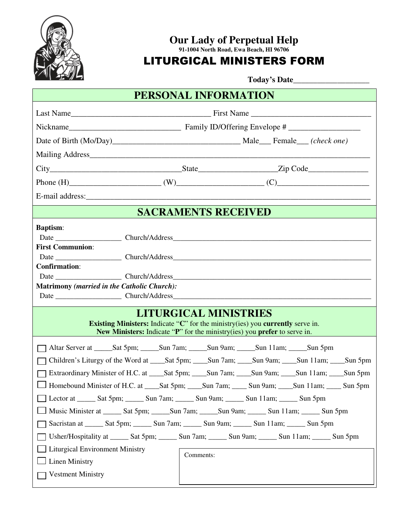

## **Our Lady of Perpetual Help**

**91-1004 North Road, Ewa Beach, HI 96706** 

## LITURGICAL MINISTERS FORM

 **Today's Date\_\_\_\_\_\_\_\_\_\_\_\_\_\_\_\_\_\_\_** 

| PERSONAL INFORMATION                                                                                                                                                                                      |                                                                                                                                                                                                                                                                                                                                                                                                                                                                                                                                                                                                                                                                                                                                                                                                                                            |  |
|-----------------------------------------------------------------------------------------------------------------------------------------------------------------------------------------------------------|--------------------------------------------------------------------------------------------------------------------------------------------------------------------------------------------------------------------------------------------------------------------------------------------------------------------------------------------------------------------------------------------------------------------------------------------------------------------------------------------------------------------------------------------------------------------------------------------------------------------------------------------------------------------------------------------------------------------------------------------------------------------------------------------------------------------------------------------|--|
|                                                                                                                                                                                                           |                                                                                                                                                                                                                                                                                                                                                                                                                                                                                                                                                                                                                                                                                                                                                                                                                                            |  |
|                                                                                                                                                                                                           |                                                                                                                                                                                                                                                                                                                                                                                                                                                                                                                                                                                                                                                                                                                                                                                                                                            |  |
|                                                                                                                                                                                                           |                                                                                                                                                                                                                                                                                                                                                                                                                                                                                                                                                                                                                                                                                                                                                                                                                                            |  |
|                                                                                                                                                                                                           |                                                                                                                                                                                                                                                                                                                                                                                                                                                                                                                                                                                                                                                                                                                                                                                                                                            |  |
|                                                                                                                                                                                                           |                                                                                                                                                                                                                                                                                                                                                                                                                                                                                                                                                                                                                                                                                                                                                                                                                                            |  |
|                                                                                                                                                                                                           |                                                                                                                                                                                                                                                                                                                                                                                                                                                                                                                                                                                                                                                                                                                                                                                                                                            |  |
|                                                                                                                                                                                                           |                                                                                                                                                                                                                                                                                                                                                                                                                                                                                                                                                                                                                                                                                                                                                                                                                                            |  |
| <b>SACRAMENTS RECEIVED</b>                                                                                                                                                                                |                                                                                                                                                                                                                                                                                                                                                                                                                                                                                                                                                                                                                                                                                                                                                                                                                                            |  |
| <b>Baptism:</b><br><b>First Communion:</b><br><b>Confirmation:</b><br><b>Matrimony (married in the Catholic Church):</b>                                                                                  |                                                                                                                                                                                                                                                                                                                                                                                                                                                                                                                                                                                                                                                                                                                                                                                                                                            |  |
| <b>LITURGICAL MINISTRIES</b><br><b>Existing Ministers:</b> Indicate "C" for the ministry(ies) you <b>currently</b> serve in.<br>New Ministers: Indicate "P" for the ministry(ies) you prefer to serve in. |                                                                                                                                                                                                                                                                                                                                                                                                                                                                                                                                                                                                                                                                                                                                                                                                                                            |  |
| <b>Liturgical Environment Ministry</b><br><b>Linen Ministry</b><br><b>Vestment Ministry</b>                                                                                                               | Altar Server at ______Sat 5pm; ______Sun 7am; ______Sun 9am; _____Sun 11am; _____Sun 5pm<br>Children's Liturgy of the Word at _____Sat 5pm; _____Sun 7am; _____Sun 9am; _____Sun 11am; _____Sun 5pm<br>Extraordinary Minister of H.C. at _____Sat 5pm; _____Sun 7am; _____Sun 9am; _____Sun 11am; _____Sun 5pm<br>Homebound Minister of H.C. at ____Sat 5pm; ____Sun 7am; ____ Sun 9am; ____Sun 11am; ____ Sun 5pm<br>Lector at ______ Sat 5pm; ______ Sun 7am; ______ Sun 9am; ______ Sun 11am; _____ Sun 5pm<br>Music Minister at ______ Sat 5pm; _______Sun 7am; _______Sun 9am; _______ Sun 11am; ______ Sun 5pm<br>Sacristan at ______ Sat 5pm; ______ Sun 7am; ______ Sun 9am; ______ Sun 11am; _____ Sun 5pm<br>Usher/Hospitality at _______ Sat 5pm; _______ Sun 7am; ______ Sun 9am; ______ Sun 11am; ______ Sun 5pm<br>Comments: |  |